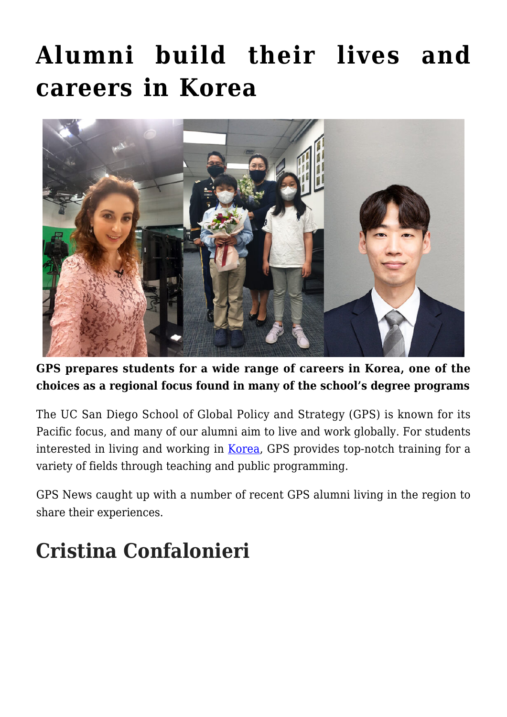## **[Alumni build their lives and](https://gpsnews.ucsd.edu/alumni-build-their-lives-and-careers-in-korea/) [careers in Korea](https://gpsnews.ucsd.edu/alumni-build-their-lives-and-careers-in-korea/)**



**GPS prepares students for a wide range of careers in Korea, one of the choices as a regional focus found in many of the school's degree programs**

The UC San Diego School of Global Policy and Strategy (GPS) is known for its Pacific focus, and many of our alumni aim to live and work globally. For students interested in living and working in [Korea](https://gps.ucsd.edu/faculty-research/research/korea-pacific-program.html), GPS provides top-notch training for a variety of fields through teaching and public programming.

GPS News caught up with a number of recent GPS alumni living in the region to share their experiences.

## **Cristina Confalonieri**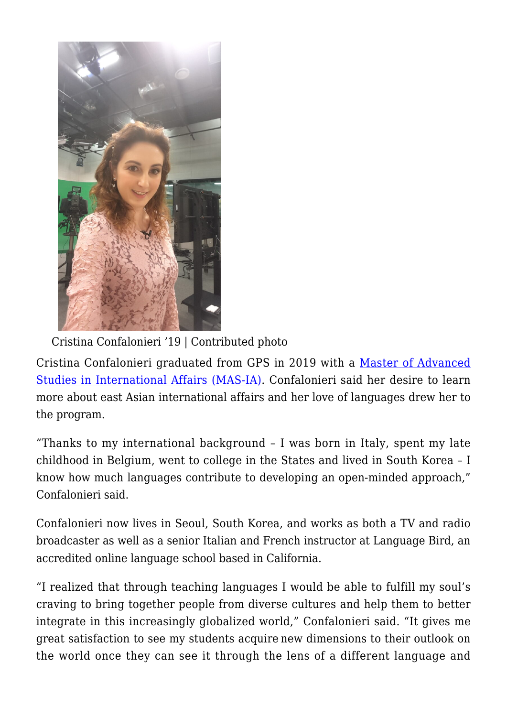

Cristina Confalonieri '19 | Contributed photo

Cristina Confalonieri graduated from GPS in 2019 with a [Master of Advanced](https://gps.ucsd.edu/academics/mas-ia.html) [Studies in International Affairs \(MAS-IA\)](https://gps.ucsd.edu/academics/mas-ia.html). Confalonieri said her desire to learn more about east Asian international affairs and her love of languages drew her to the program.

"Thanks to my international background – I was born in Italy, spent my late childhood in Belgium, went to college in the States and lived in South Korea – I know how much languages contribute to developing an open-minded approach," Confalonieri said.

Confalonieri now lives in Seoul, South Korea, and works as both a TV and radio broadcaster as well as a senior Italian and French instructor at Language Bird, an accredited online language school based in California.

"I realized that through teaching languages I would be able to fulfill my soul's craving to bring together people from diverse cultures and help them to better integrate in this increasingly globalized world," Confalonieri said. "It gives me great satisfaction to see my students acquire new dimensions to their outlook on the world once they can see it through the lens of a different language and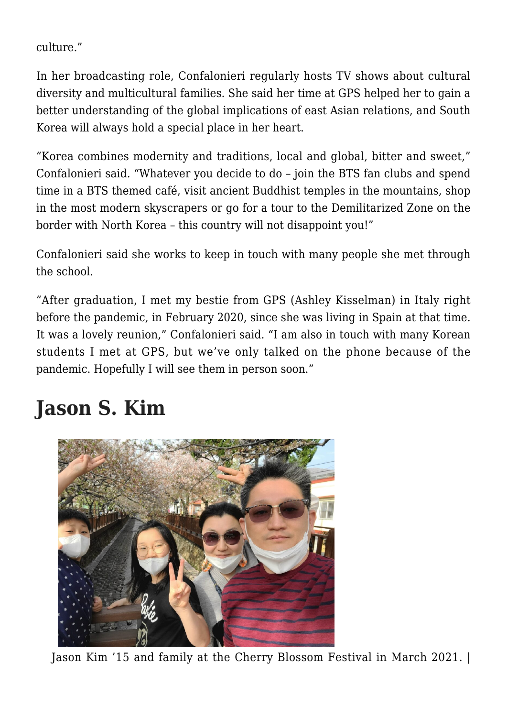culture."

In her broadcasting role, Confalonieri regularly hosts TV shows about cultural diversity and multicultural families. She said her time at GPS helped her to gain a better understanding of the global implications of east Asian relations, and South Korea will always hold a special place in her heart.

"Korea combines modernity and traditions, local and global, bitter and sweet," Confalonieri said. "Whatever you decide to do – join the BTS fan clubs and spend time in a BTS themed café, visit ancient Buddhist temples in the mountains, shop in the most modern skyscrapers or go for a tour to the Demilitarized Zone on the border with North Korea – this country will not disappoint you!"

Confalonieri said she works to keep in touch with many people she met through the school.

"After graduation, I met my bestie from GPS (Ashley Kisselman) in Italy right before the pandemic, in February 2020, since she was living in Spain at that time. It was a lovely reunion," Confalonieri said. "I am also in touch with many Korean students I met at GPS, but we've only talked on the phone because of the pandemic. Hopefully I will see them in person soon."

## **Jason S. Kim**



Jason Kim '15 and family at the Cherry Blossom Festival in March 2021. |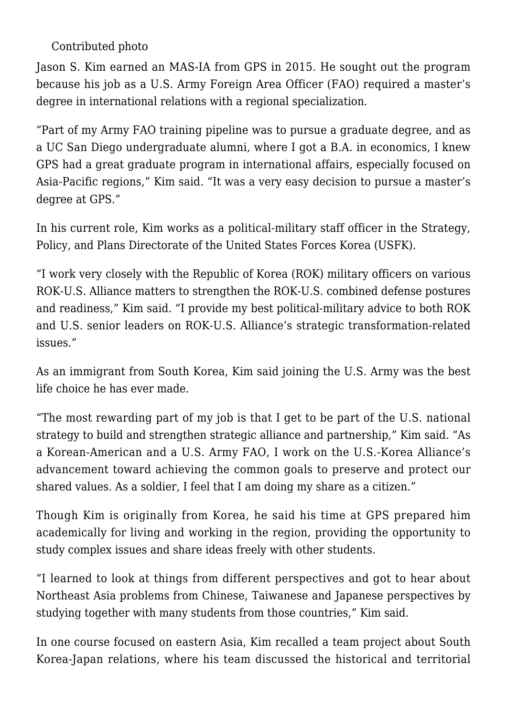Contributed photo

Jason S. Kim earned an MAS-IA from GPS in 2015. He sought out the program because his job as a U.S. Army Foreign Area Officer (FAO) required a master's degree in international relations with a regional specialization.

"Part of my Army FAO training pipeline was to pursue a graduate degree, and as a UC San Diego undergraduate alumni, where I got a B.A. in economics, I knew GPS had a great graduate program in international affairs, especially focused on Asia-Pacific regions," Kim said. "It was a very easy decision to pursue a master's degree at GPS."

In his current role, Kim works as a political-military staff officer in the Strategy, Policy, and Plans Directorate of the United States Forces Korea (USFK).

"I work very closely with the Republic of Korea (ROK) military officers on various ROK-U.S. Alliance matters to strengthen the ROK-U.S. combined defense postures and readiness," Kim said. "I provide my best political-military advice to both ROK and U.S. senior leaders on ROK-U.S. Alliance's strategic transformation-related issues."

As an immigrant from South Korea, Kim said joining the U.S. Army was the best life choice he has ever made.

"The most rewarding part of my job is that I get to be part of the U.S. national strategy to build and strengthen strategic alliance and partnership," Kim said. "As a Korean-American and a U.S. Army FAO, I work on the U.S.-Korea Alliance's advancement toward achieving the common goals to preserve and protect our shared values. As a soldier, I feel that I am doing my share as a citizen."

Though Kim is originally from Korea, he said his time at GPS prepared him academically for living and working in the region, providing the opportunity to study complex issues and share ideas freely with other students.

"I learned to look at things from different perspectives and got to hear about Northeast Asia problems from Chinese, Taiwanese and Japanese perspectives by studying together with many students from those countries," Kim said.

In one course focused on eastern Asia, Kim recalled a team project about South Korea-Japan relations, where his team discussed the historical and territorial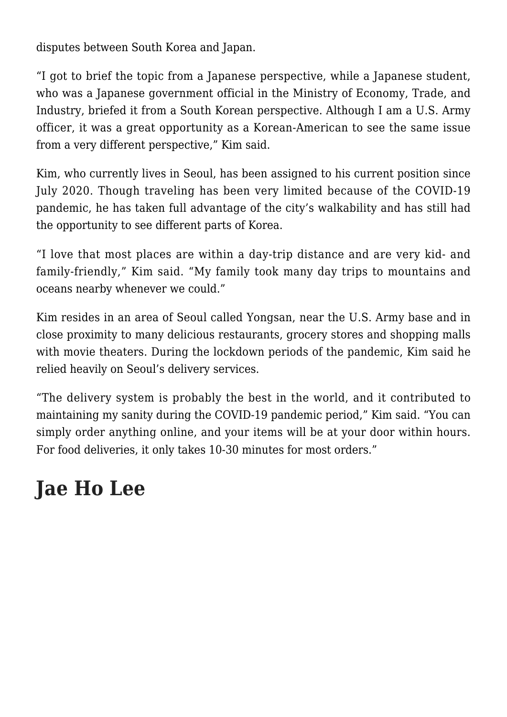disputes between South Korea and Japan.

"I got to brief the topic from a Japanese perspective, while a Japanese student, who was a Japanese government official in the Ministry of Economy, Trade, and Industry, briefed it from a South Korean perspective. Although I am a U.S. Army officer, it was a great opportunity as a Korean-American to see the same issue from a very different perspective," Kim said.

Kim, who currently lives in Seoul, has been assigned to his current position since July 2020. Though traveling has been very limited because of the COVID-19 pandemic, he has taken full advantage of the city's walkability and has still had the opportunity to see different parts of Korea.

"I love that most places are within a day-trip distance and are very kid- and family-friendly," Kim said. "My family took many day trips to mountains and oceans nearby whenever we could."

Kim resides in an area of Seoul called Yongsan, near the U.S. Army base and in close proximity to many delicious restaurants, grocery stores and shopping malls with movie theaters. During the lockdown periods of the pandemic, Kim said he relied heavily on Seoul's delivery services.

"The delivery system is probably the best in the world, and it contributed to maintaining my sanity during the COVID-19 pandemic period," Kim said. "You can simply order anything online, and your items will be at your door within hours. For food deliveries, it only takes 10-30 minutes for most orders."

## **Jae Ho Lee**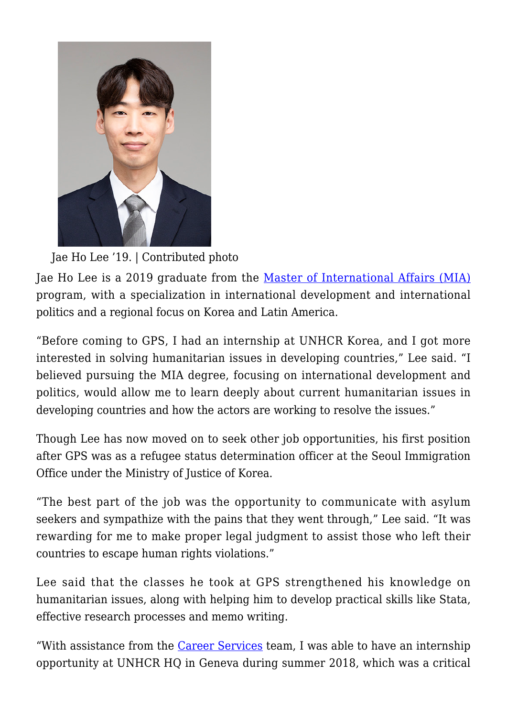

Jae Ho Lee '19. | Contributed photo

Jae Ho Lee is a 2019 graduate from the [Master of International Affairs \(MIA\)](https://gps.ucsd.edu/academics/mia.html) program, with a specialization in international development and international politics and a regional focus on Korea and Latin America.

"Before coming to GPS, I had an internship at UNHCR Korea, and I got more interested in solving humanitarian issues in developing countries," Lee said. "I believed pursuing the MIA degree, focusing on international development and politics, would allow me to learn deeply about current humanitarian issues in developing countries and how the actors are working to resolve the issues."

Though Lee has now moved on to seek other job opportunities, his first position after GPS was as a refugee status determination officer at the Seoul Immigration Office under the Ministry of Justice of Korea.

"The best part of the job was the opportunity to communicate with asylum seekers and sympathize with the pains that they went through," Lee said. "It was rewarding for me to make proper legal judgment to assist those who left their countries to escape human rights violations."

Lee said that the classes he took at GPS strengthened his knowledge on humanitarian issues, along with helping him to develop practical skills like Stata, effective research processes and memo writing.

"With assistance from the [Career Services](https://gps.ucsd.edu/career-services/index.html) team, I was able to have an internship opportunity at UNHCR HQ in Geneva during summer 2018, which was a critical